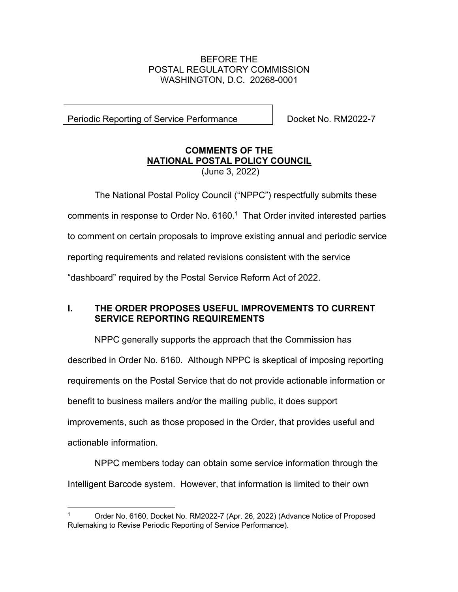## BEFORE THE POSTAL REGULATORY COMMISSION WASHINGTON, D.C. 20268-0001

Periodic Reporting of Service Performance | Docket No. RM2022-7

## **COMMENTS OF THE NATIONAL POSTAL POLICY COUNCIL** (June 3, 2022)

The National Postal Policy Council ("NPPC") respectfully submits these comments in response to Order No. 6160. 1 That Order invited interested parties to comment on certain proposals to improve existing annual and periodic service reporting requirements and related revisions consistent with the service "dashboard" required by the Postal Service Reform Act of 2022.

## **I. THE ORDER PROPOSES USEFUL IMPROVEMENTS TO CURRENT SERVICE REPORTING REQUIREMENTS**

NPPC generally supports the approach that the Commission has described in Order No. 6160. Although NPPC is skeptical of imposing reporting requirements on the Postal Service that do not provide actionable information or benefit to business mailers and/or the mailing public, it does support improvements, such as those proposed in the Order, that provides useful and actionable information.

NPPC members today can obtain some service information through the Intelligent Barcode system. However, that information is limited to their own

<sup>1</sup> Order No. 6160, Docket No. RM2022-7 (Apr. 26, 2022) (Advance Notice of Proposed Rulemaking to Revise Periodic Reporting of Service Performance).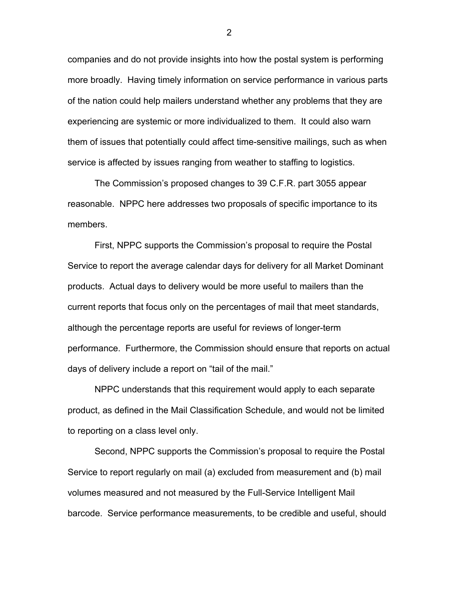companies and do not provide insights into how the postal system is performing more broadly. Having timely information on service performance in various parts of the nation could help mailers understand whether any problems that they are experiencing are systemic or more individualized to them. It could also warn them of issues that potentially could affect time-sensitive mailings, such as when service is affected by issues ranging from weather to staffing to logistics.

The Commission's proposed changes to 39 C.F.R. part 3055 appear reasonable. NPPC here addresses two proposals of specific importance to its members.

First, NPPC supports the Commission's proposal to require the Postal Service to report the average calendar days for delivery for all Market Dominant products. Actual days to delivery would be more useful to mailers than the current reports that focus only on the percentages of mail that meet standards, although the percentage reports are useful for reviews of longer-term performance. Furthermore, the Commission should ensure that reports on actual days of delivery include a report on "tail of the mail."

NPPC understands that this requirement would apply to each separate product, as defined in the Mail Classification Schedule, and would not be limited to reporting on a class level only.

Second, NPPC supports the Commission's proposal to require the Postal Service to report regularly on mail (a) excluded from measurement and (b) mail volumes measured and not measured by the Full-Service Intelligent Mail barcode. Service performance measurements, to be credible and useful, should

2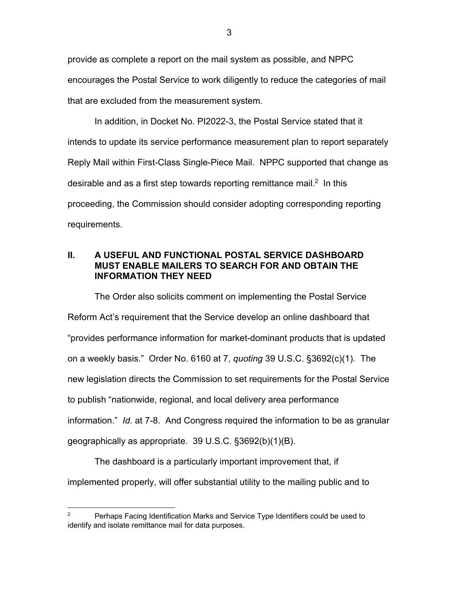provide as complete a report on the mail system as possible, and NPPC encourages the Postal Service to work diligently to reduce the categories of mail that are excluded from the measurement system.

In addition, in Docket No. PI2022-3, the Postal Service stated that it intends to update its service performance measurement plan to report separately Reply Mail within First-Class Single-Piece Mail. NPPC supported that change as desirable and as a first step towards reporting remittance mail.<sup>2</sup> In this proceeding, the Commission should consider adopting corresponding reporting requirements.

## **II. A USEFUL AND FUNCTIONAL POSTAL SERVICE DASHBOARD MUST ENABLE MAILERS TO SEARCH FOR AND OBTAIN THE INFORMATION THEY NEED**

The Order also solicits comment on implementing the Postal Service Reform Act's requirement that the Service develop an online dashboard that "provides performance information for market-dominant products that is updated on a weekly basis." Order No. 6160 at 7, *quoting* 39 U.S.C. §3692(c)(1). The new legislation directs the Commission to set requirements for the Postal Service to publish "nationwide, regional, and local delivery area performance information." *Id*. at 7-8. And Congress required the information to be as granular geographically as appropriate. 39 U.S.C. §3692(b)(1)(B).

The dashboard is a particularly important improvement that, if implemented properly, will offer substantial utility to the mailing public and to

<sup>&</sup>lt;sup>2</sup> Perhaps Facing Identification Marks and Service Type Identifiers could be used to identify and isolate remittance mail for data purposes.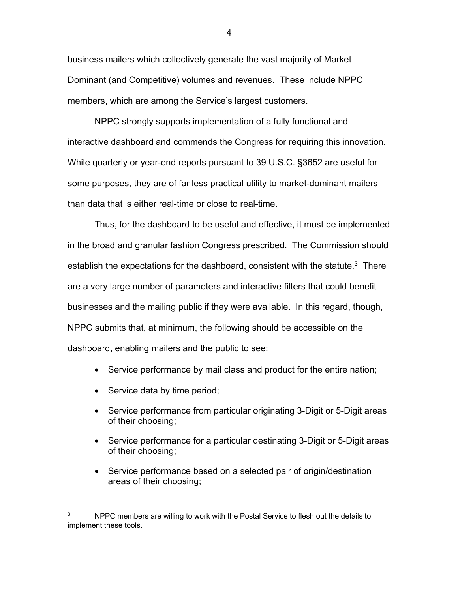business mailers which collectively generate the vast majority of Market Dominant (and Competitive) volumes and revenues. These include NPPC members, which are among the Service's largest customers.

NPPC strongly supports implementation of a fully functional and interactive dashboard and commends the Congress for requiring this innovation. While quarterly or year-end reports pursuant to 39 U.S.C. §3652 are useful for some purposes, they are of far less practical utility to market-dominant mailers than data that is either real-time or close to real-time.

Thus, for the dashboard to be useful and effective, it must be implemented in the broad and granular fashion Congress prescribed. The Commission should establish the expectations for the dashboard, consistent with the statute.<sup>3</sup> There are a very large number of parameters and interactive filters that could benefit businesses and the mailing public if they were available. In this regard, though, NPPC submits that, at minimum, the following should be accessible on the dashboard, enabling mailers and the public to see:

- Service performance by mail class and product for the entire nation;
- Service data by time period;
- Service performance from particular originating 3-Digit or 5-Digit areas of their choosing;
- Service performance for a particular destinating 3-Digit or 5-Digit areas of their choosing;
- Service performance based on a selected pair of origin/destination areas of their choosing;

 $3 \qquad$  NPPC members are willing to work with the Postal Service to flesh out the details to implement these tools.